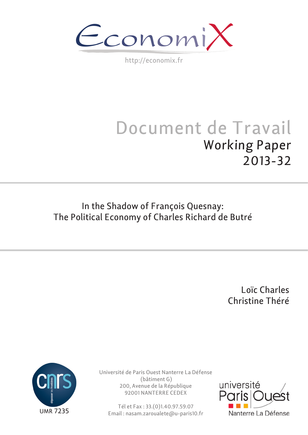$\epsilon$ conomi)

http://economix.fr

# Document de Travail Working Paper 2013-32

# In the Shadow of François Quesnay: The Political Economy of Charles Richard de Butré

Loïc Charles Christine Théré



Université de Paris Ouest Nanterre La Défense (bâtiment G) 200, Avenue de la République 92001 NANTERRE CEDEX

Tél et Fax : 33.(0)1.40.97.59.07 Email : nasam.zaroualete@u-paris10.fr

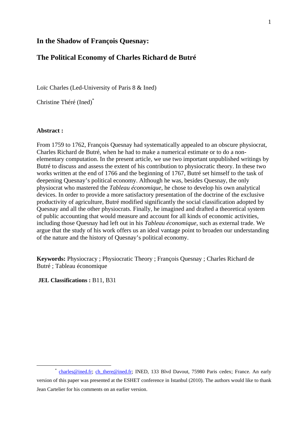#### **In the Shadow of François Quesnay:**

# **The Political Economy of Charles Richard de Butré**

Loïc Charles (Led-University of Paris 8 & Ined)

Christine Théré (Ined)\*

#### **Abstract :**

From 1759 to 1762, François Quesnay had systematically appealed to an obscure physiocrat, Charles Richard de Butré, when he had to make a numerical estimate or to do a nonelementary computation. In the present article, we use two important unpublished writings by Butré to discuss and assess the extent of his contribution to physiocratic theory. In these two works written at the end of 1766 and the beginning of 1767, Butré set himself to the task of deepening Quesnay's political economy. Although he was, besides Quesnay, the only physiocrat who mastered the *Tableau économique*, he chose to develop his own analytical devices. In order to provide a more satisfactory presentation of the doctrine of the exclusive productivity of agriculture, Butré modified significantly the social classification adopted by Quesnay and all the other physiocrats. Finally, he imagined and drafted a theoretical system of public accounting that would measure and account for all kinds of economic activities, including those Quesnay had left out in his *Tableau économique*, such as external trade. We argue that the study of his work offers us an ideal vantage point to broaden our understanding of the nature and the history of Quesnay's political economy.

**Keywords:** Physiocracy ; Physiocratic Theory ; François Quesnay ; Charles Richard de Butré ; Tableau économique

**JEL Classifications :** B11, B31

<sup>\*</sup> charles@ined.fr; ch\_there@ined.fr; INED, 133 Blvd Davout, 75980 Paris cedex; France. An early version of this paper was presented at the ESHET conference in Istanbul (2010). The authors would like to thank Jean Cartelier for his comments on an earlier version.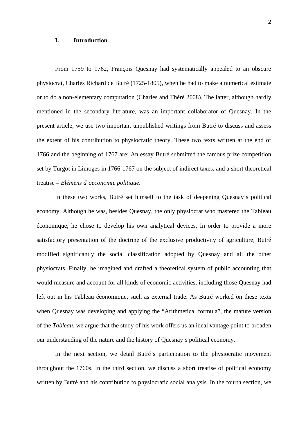#### **I. Introduction**

From 1759 to 1762, François Quesnay had systematically appealed to an obscure physiocrat, Charles Richard de Butré (1725-1805), when he had to make a numerical estimate or to do a non-elementary computation (Charles and Théré 2008). The latter, although hardly mentioned in the secondary literature, was an important collaborator of Quesnay. In the present article, we use two important unpublished writings from Butré to discuss and assess the extent of his contribution to physiocratic theory. These two texts written at the end of 1766 and the beginning of 1767 are: An essay Butré submitted the famous prize competition set by Turgot in Limoges in 1766-1767 on the subject of indirect taxes, and a short theoretical treatise – *Elémens d'oeconomie politique*.

In these two works, Butré set himself to the task of deepening Quesnay's political economy. Although he was, besides Quesnay, the only physiocrat who mastered the Tableau économique, he chose to develop his own analytical devices. In order to provide a more satisfactory presentation of the doctrine of the exclusive productivity of agriculture, Butré modified significantly the social classification adopted by Quesnay and all the other physiocrats. Finally, he imagined and drafted a theoretical system of public accounting that would measure and account for all kinds of economic activities, including those Quesnay had left out in his Tableau économique, such as external trade. As Butré worked on these texts when Quesnay was developing and applying the "Arithmetical formula", the mature version of the *Tableau*, we argue that the study of his work offers us an ideal vantage point to broaden our understanding of the nature and the history of Quesnay's political economy.

In the next section, we detail Butré's participation to the physiocratic movement throughout the 1760s. In the third section, we discuss a short treatise of political economy written by Butré and his contribution to physiocratic social analysis. In the fourth section, we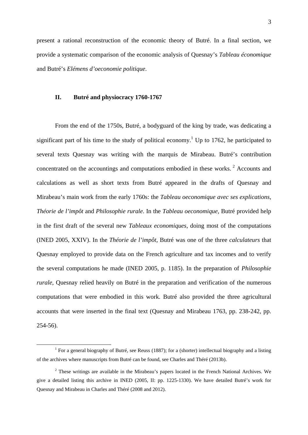present a rational reconstruction of the economic theory of Butré. In a final section, we provide a systematic comparison of the economic analysis of Quesnay's *Tableau économique* and Butré's *Elémens d'oeconomie politique*.

#### **II. Butré and physiocracy 1760-1767**

From the end of the 1750s, Butré, a bodyguard of the king by trade, was dedicating a significant part of his time to the study of political economy.<sup>1</sup> Up to 1762, he participated to several texts Quesnay was writing with the marquis de Mirabeau. Butré's contribution concentrated on the accountings and computations embodied in these works.<sup>2</sup> Accounts and calculations as well as short texts from Butré appeared in the drafts of Quesnay and Mirabeau's main work from the early 1760s: the *Tableau oeconomique avec ses explications*, *Théorie de l'impôt* and *Philosophie rurale*. In the *Tableau oeconomique*, Butré provided help in the first draft of the several new *Tableaux economiques*, doing most of the computations (INED 2005, XXIV). In the *Théorie de l'impôt*, Butré was one of the three *calculateurs* that Quesnay employed to provide data on the French agriculture and tax incomes and to verify the several computations he made (INED 2005, p. 1185). In the preparation of *Philosophie rurale*, Quesnay relied heavily on Butré in the preparation and verification of the numerous computations that were embodied in this work. Butré also provided the three agricultural accounts that were inserted in the final text (Quesnay and Mirabeau 1763, pp. 238-242, pp. 254-56).

 $\frac{1}{1}$ <sup>1</sup> For a general biography of Butré, see Reuss (1887); for a (shorter) intellectual biography and a listing of the archives where manuscripts from Butré can be found, see Charles and Théré (2013b).

 $2$  These writings are available in the Mirabeau's papers located in the French National Archives. We give a detailed listing this archive in INED (2005, II: pp. 1225-1330). We have detailed Butré's work for Quesnay and Mirabeau in Charles and Théré (2008 and 2012).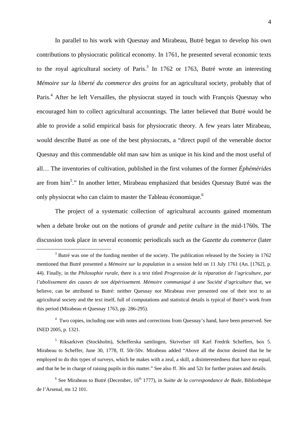In parallel to his work with Quesnay and Mirabeau, Butré began to develop his own contributions to physiocratic political economy. In 1761, he presented several economic texts to the royal agricultural society of Paris.<sup>3</sup> In 1762 or 1763, Butré wrote an interesting *Mémoire sur la liberté du commerce des grains* for an agricultural society, probably that of Paris.<sup>4</sup> After he left Versailles, the physiocrat stayed in touch with François Quesnay who encouraged him to collect agricultural accountings. The latter believed that Butré would be able to provide a solid empirical basis for physiocratic theory. A few years later Mirabeau, would describe Butré as one of the best physiocrats, a "direct pupil of the venerable doctor Quesnay and this commendable old man saw him as unique in his kind and the most useful of all… The inventories of cultivation, published in the first volumes of the former *Éphémérides* are from him<sup>5</sup>." In another letter, Mirabeau emphasized that besides Quesnay Butré was the only physiocrat who can claim to master the Tableau économique.<sup>6</sup>

The project of a systematic collection of agricultural accounts gained momentum when a debate broke out on the notions of *grande* and *petite culture* in the mid-1760s. The discussion took place in several economic periodicals such as the *Gazette du commerce* (later

 $\frac{1}{3}$  $3$  Butré was one of the funding member of the society. The publication released by the Society in 1762 mentioned that Butré presented a *Mémoire sur la population* in a session held on 11 July 1761 (An. [1762], p. 44). Finally, in the *Philosophie rurale*, there is a text titled *Progression de la réparation de l'agriculture, par l'abolissement des causes de son dépérissement. Mémoire communiqué à une Société d'agriculture* that, we believe, can be attributed to Butré: neither Quesnay nor Mirabeau ever presented one of their text to an agricultural society and the text itself, full of computations and statistical details is typical of Butré's work from this period (Mirabeau et Quesnay 1763, pp. 286-295).

<sup>&</sup>lt;sup>4</sup> Two copies, including one with notes and corrections from Quesnay's hand, have been preserved. See INED 2005, p. 1321.

<sup>5</sup> Riksarkivet (Stockholm), Schefferska samlingen, Skrivelser till Karl Fredrik Scheffers, box 5. Mirabeau to Scheffer, June 30, 1778, ff. 50r-50v. Mirabeau added "Above all the doctor desired that he be employed to do this types of surveys, which he makes with a zeal, a skill, a disinterestedness that have no equal, and that he be in charge of raising pupils in this matter." See also ff. 36v and 52r for further praises and details.

<sup>&</sup>lt;sup>6</sup> See Mirabeau to Butré (December, 16<sup>th</sup> 1777), in *Suitte de la correspondance de Bade*, Bibliothèque de l'Arsenal, ms 12 101.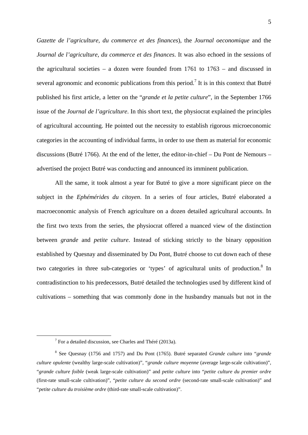*Gazette de l'agriculture, du commerce et des finances*), the *Journal oeconomique* and the *Journal de l'agriculture, du commerce et des finances*. It was also echoed in the sessions of the agricultural societies – a dozen were founded from 1761 to 1763 – and discussed in several agronomic and economic publications from this period.<sup>7</sup> It is in this context that Butré published his first article, a letter on the "*grande et la petite culture*", in the September 1766 issue of the *Journal de l'agriculture*. In this short text, the physiocrat explained the principles of agricultural accounting. He pointed out the necessity to establish rigorous microeconomic categories in the accounting of individual farms, in order to use them as material for economic discussions (Butré 1766). At the end of the letter, the editor-in-chief – Du Pont de Nemours – advertised the project Butré was conducting and announced its imminent publication.

All the same, it took almost a year for Butré to give a more significant piece on the subject in the *Ephémérides du citoyen*. In a series of four articles, Butré elaborated a macroeconomic analysis of French agriculture on a dozen detailed agricultural accounts. In the first two texts from the series, the physiocrat offered a nuanced view of the distinction between *grande* and *petite culture*. Instead of sticking strictly to the binary opposition established by Quesnay and disseminated by Du Pont, Butré choose to cut down each of these two categories in three sub-categories or 'types' of agricultural units of production.<sup>8</sup> In contradistinction to his predecessors, Butré detailed the technologies used by different kind of cultivations – something that was commonly done in the husbandry manuals but not in the

 $\begin{array}{c|c}\n\hline\n\end{array}$  $7$  For a detailed discussion, see Charles and Théré (2013a).

<sup>8</sup> See Quesnay (1756 and 1757) and Du Pont (1765). Butré separated *Grande culture* into "*grande culture opulente* (wealthy large-scale cultivation)", "*grande culture moyenne* (average large-scale cultivation)", "*grande culture foible* (weak large-scale cultivation)" and *petite culture* into "*petite culture du premier ordre* (first-rate small-scale cultivation)", "*petite culture du second ordre* (second-rate small-scale cultivation)" and "*petite culture du troisième ordre* (third-rate small-scale cultivation)".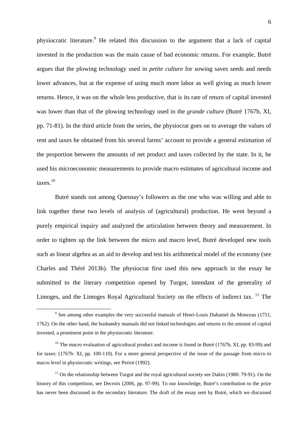physiocratic literature.<sup>9</sup> He related this discussion to the argument that a lack of capital invested in the production was the main cause of bad economic returns. For example, Butré argues that the plowing technology used in *petite culture* for sowing saves seeds and needs lower advances, but at the expense of using much more labor as well giving as much lower returns. Hence, it was on the whole less productive, that is its rate of return of capital invested was lower than that of the plowing technology used in the *grande culture* (Butré 1767b, XI, pp. 71-81). In the third article from the series, the physiocrat goes on to average the values of rent and taxes he obtained from his several farms' account to provide a general estimation of the proportion between the amounts of net product and taxes collected by the state. In it, he used his microeconomic measurements to provide macro estimates of agricultural income and taxes.10

Butré stands out among Quesnay's followers as the one who was willing and able to link together these two levels of analysis of (agricultural) production. He went beyond a purely empirical inquiry and analyzed the articulation between theory and measurement. In order to tighten up the link between the micro and macro level, Butré developed new tools such as linear algebra as an aid to develop and test his arithmetical model of the economy (see Charles and Théré 2013b). The physiocrat first used this new approach in the essay he submitted to the literary competition opened by Turgot, intendant of the generality of Limoges, and the Limoges Royal Agricultural Society on the effects of indirect tax. <sup>11</sup> The

 $\frac{1}{\sqrt{9}}$  $9$  See among other examples the very successful manuals of Henri-Louis Duhamel du Monceau (1751, 1762). On the other hand, the husbandry manuals did not linked technologies and returns to the amount of capital invested, a prominent point in the physiocratic literature.

 $10$  The macro evaluation of agricultural product and income is found in Butré (1767b, XI, pp. 83-99) and for taxes: (1767b: XI, pp. 100-110). For a more general perspective of the issue of the passage from micro to macro level in physiocratic writings, see Perrot (1992).

 $11$  On the relationship between Turgot and the royal agricultural society see Dakin (1980: 79-91). On the history of this competition, see Decroix (2006, pp. 97-99). To our knowledge, Butré's contribution to the prize has never been discussed in the secondary literature. The draft of the essay sent by Butré, which we discussed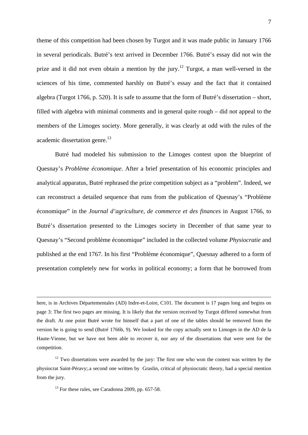theme of this competition had been chosen by Turgot and it was made public in January 1766 in several periodicals. Butré's text arrived in December 1766. Butré's essay did not win the prize and it did not even obtain a mention by the jury.<sup>12</sup> Turgot, a man well-versed in the sciences of his time, commented harshly on Butré's essay and the fact that it contained algebra (Turgot 1766, p. 520). It is safe to assume that the form of Butré's dissertation – short, filled with algebra with minimal comments and in general quite rough – did not appeal to the members of the Limoges society. More generally, it was clearly at odd with the rules of the academic dissertation genre.<sup>13</sup>

Butré had modeled his submission to the Limoges contest upon the blueprint of Quesnay's *Problème économique*. After a brief presentation of his economic principles and analytical apparatus, Butré rephrased the prize competition subject as a "problem". Indeed, we can reconstruct a detailed sequence that runs from the publication of Quesnay's "Problème économique" in the *Journal d'agriculture, de commerce et des finances* in August 1766, to Butré's dissertation presented to the Limoges society in December of that same year to Quesnay's "Second problème économique" included in the collected volume *Physiocratie* and published at the end 1767. In his first "Problème économique", Quesnay adhered to a form of presentation completely new for works in political economy; a form that he borrowed from

here, is in Archives Départementales (AD) Indre-et-Loire, C101. The document is 17 pages long and begins on page 3: The first two pages are missing. It is likely that the version received by Turgot differed somewhat from the draft. At one point Butré wrote for himself that a part of one of the tables should be removed from the version he is going to send (Butré 1766b, 9). We looked for the copy actually sent to Limoges in the AD de la Haute-Vienne, but we have not been able to recover it, nor any of the dissertations that were sent for the competition.

 $12$  Two dissertations were awarded by the jury: The first one who won the contest was written by the physiocrat Saint-Péravy;.a second one written by Graslin, critical of physiocratic theory, had a special mention from the jury.

 $13$  For these rules, see Caradonna 2009, pp. 657-58.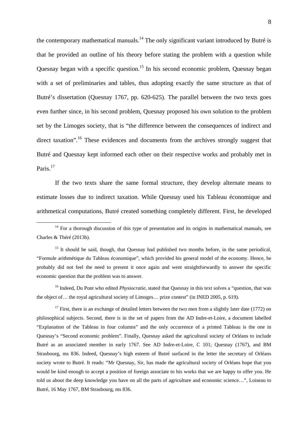the contemporary mathematical manuals.<sup>14</sup> The only significant variant introduced by Butré is that he provided an outline of his theory before stating the problem with a question while Quesnay began with a specific question.<sup>15</sup> In his second economic problem, Quesnay began with a set of preliminaries and tables, thus adopting exactly the same structure as that of Butré's dissertation (Quesnay 1767, pp. 620-625). The parallel between the two texts goes even further since, in his second problem, Quesnay proposed his own solution to the problem set by the Limoges society, that is "the difference between the consequences of indirect and direct taxation".<sup>16</sup> These evidences and documents from the archives strongly suggest that Butré and Quesnay kept informed each other on their respective works and probably met in Paris.<sup>17</sup>

If the two texts share the same formal structure, they develop alternate means to estimate losses due to indirect taxation. While Quesnay used his Tableau économique and arithmetical computations, Butré created something completely different. First, he developed

<sup>16</sup> Indeed, Du Pont who edited *Physiocratie*, stated that Ouesnay in this text solves a "question, that was the object of… the royal agricultural society of Limoges… prize contest" (in INED 2005, p. 619).

<sup>17</sup> First, there is an exchange of detailed letters between the two men from a slightly later date (1772) on philosophical subjects. Second, there is in the set of papers from the AD Indre-et-Loire, a document labelled "Explanation of the Tableau in four columns" and the only occurrence of a printed Tableau is the one in Quesnay's "Second economic problem". Finally, Quesnay asked the agricultural society of Orléans to include Butré as an associated member in early 1767. See AD Indre-et-Loire, C 101; Quesnay (1767), and BM Strasbourg, ms 836. Indeed, Quesnay's high esteem of Butré surfaced in the letter the secretary of Orléans society wrote to Butré. It reads: "Mr Quesnay, Sir, has made the agricultural society of Orléans hope that you would be kind enough to accept a position of foreign associate to his works that we are happy to offer you. He told us about the deep knowledge you have on all the parts of agriculture and economic science…", Loiseau to Butré, 16 May 1767, BM Strasbourg, ms 836.

 $14$  For a thorough discussion of this type of presentation and its origins in mathematical manuals, see Charles & Théré (2013b).

 $15$  It should be said, though, that Quesnay had published two months before, in the same periodical, "Formule arithmétique du Tableau économique", which provided his general model of the economy. Hence, he probably did not feel the need to present it once again and went straightforwardly to answer the specific economic question that the problem was to answer.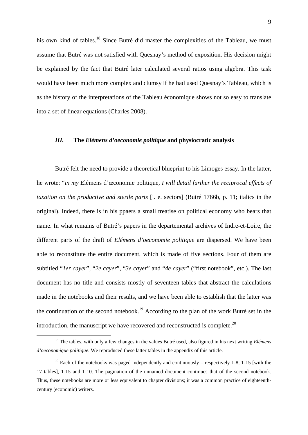his own kind of tables.<sup>18</sup> Since Butré did master the complexities of the Tableau, we must assume that Butré was not satisfied with Quesnay's method of exposition. His decision might be explained by the fact that Butré later calculated several ratios using algebra. This task would have been much more complex and clumsy if he had used Quesnay's Tableau, which is as the history of the interpretations of the Tableau économique shows not so easy to translate into a set of linear equations (Charles 2008).

#### *III.* **The** *Elémens d'oeconomie politique* **and physiocratic analysis**

Butré felt the need to provide a theoretical blueprint to his Limoges essay. In the latter, he wrote: "*in my* Elémens d'œconomie politique*, I will detail further the reciprocal effects of taxation on the productive and sterile parts* [i. e. sectors] (Butré 1766b, p. 11; italics in the original). Indeed, there is in his ppaers a small treatise on political economy who bears that name. In what remains of Butré's papers in the departemental archives of Indre-et-Loire, the different parts of the draft of *Elémens d'oeconomie politique* are dispersed. We have been able to reconstitute the entire document, which is made of five sections. Four of them are subtitled "*1er cayer*", "*2e cayer*", "*3e cayer*" and "*4e cayer*" ("first notebook", etc.). The last document has no title and consists mostly of seventeen tables that abstract the calculations made in the notebooks and their results, and we have been able to establish that the latter was the continuation of the second notebook.19 According to the plan of the work Butré set in the introduction, the manuscript we have recovered and reconstructed is complete.<sup>20</sup>

 <sup>18</sup> The tables, with only a few changes in the values Butré used, also figured in his next writing *Elémens d'oeconomique politique*. We reproduced these latter tables in the appendix of this article.

 $19$  Each of the notebooks was paged independently and continuously – respectively 1-8, 1-15 [with the 17 tables], 1-15 and 1-10. The pagination of the unnamed document continues that of the second notebook. Thus, these notebooks are more or less equivalent to chapter divisions; it was a common practice of eighteenthcentury (economic) writers.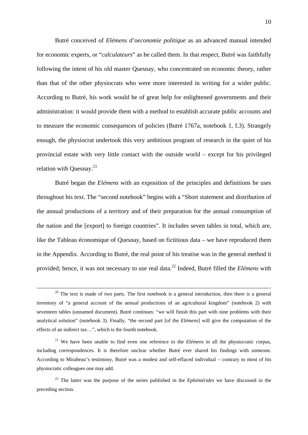Butré conceived of *Elémens d'oeconomie politique* as an advanced manual intended for economic experts, or "*calculateurs*" as he called them. In that respect, Butré was faithfully following the intent of his old master Quesnay, who concentrated on economic theory, rather than that of the other physiocrats who were more interested in writing for a wider public. According to Butré, his work would be of great help for enlightened governments and their administration: it would provide them with a method to establish accurate public accounts and to measure the economic consequences of policies (Butré 1767a, notebook 1, f.3). Strangely enough, the physiocrat undertook this very ambitious program of research in the quiet of his provincial estate with very little contact with the outside world – except for his privileged relation with Quesnay. $^{21}$ 

Butré began the *Elémens* with an exposition of the principles and definitions he uses throughout his text. The "second notebook" begins with a "Short statement and distribution of the annual productions of a territory and of their preparation for the annual consumption of the nation and the [export] to foreign countries". It includes seven tables in total, which are, like the Tableau économique of Quesnay, based on fictitious data – we have reproduced them in the Appendix. According to Butré, the real point of his treatise was in the general method it provided; hence, it was not necessary to use real data.22 Indeed, Butré filled the *Elémens* with

 $20$  The text is made of two parts. The first notebook is a general introduction, then there is a general inventory of "a general account of the annual productions of an agricultural kingdom" (notebook 2) with seventeen tables (unnamed document). Butré continues: "we will finish this part with nine problems with their analytical solution" (notebook 3). Finally, "the second part [of the *Elémens*] will give the computation of the effects of an indirect tax…", which is the fourth notebook.

<sup>&</sup>lt;sup>21</sup> We have been unable to find even one reference to the *Elémens* in all the physiocratic corpus, including correspondences. It is therefore unclear whether Butré ever shared his findings with someone. According to Mirabeau's testimony, Butré was a modest and self-effaced individual – contrary to most of his physiocratic colleagues one may add.

<sup>22</sup> The latter was the purpose of the series published in the *Ephémérides* we have discussed in the preceding section.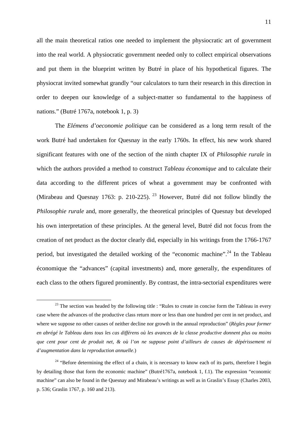all the main theoretical ratios one needed to implement the physiocratic art of government into the real world. A physiocratic government needed only to collect empirical observations and put them in the blueprint written by Butré in place of his hypothetical figures. The physiocrat invited somewhat grandly "our calculators to turn their research in this direction in order to deepen our knowledge of a subject-matter so fundamental to the happiness of nations." (Butré 1767a, notebook 1, p. 3)

The *Elémens d'oeconomie politique* can be considered as a long term result of the work Butré had undertaken for Quesnay in the early 1760s. In effect, his new work shared significant features with one of the section of the ninth chapter IX of *Philosophie rurale* in which the authors provided a method to construct *Tableau économique* and to calculate their data according to the different prices of wheat a government may be confronted with (Mirabeau and Quesnay 1763: p. 210-225). <sup>23</sup> However, Butré did not follow blindly the *Philosophie rurale* and, more generally, the theoretical principles of Quesnay but developed his own interpretation of these principles. At the general level, Butré did not focus from the creation of net product as the doctor clearly did, especially in his writings from the 1766-1767 period, but investigated the detailed working of the "economic machine".<sup>24</sup> In the Tableau économique the "advances" (capital investments) and, more generally, the expenditures of each class to the others figured prominently. By contrast, the intra-sectorial expenditures were

<sup>&</sup>lt;sup>23</sup> The section was headed by the following title : "Rules to create in concise form the Tableau in every case where the advances of the productive class return more or less than one hundred per cent in net product, and where we suppose no other causes of neither decline nor growth in the annual reproduction" (*Règles pour former en abrégé le Tableau dans tous les cas différens où les avances de la classe productive donnent plus ou moins que cent pour cent de produit net, & où l'on ne suppose point d'ailleurs de causes de dépérissement ni d'augmentation dans la reproduction annuelle.*)

<sup>&</sup>lt;sup>24</sup> "Before determining the effect of a chain, it is necessary to know each of its parts, therefore I begin by detailing those that form the economic machine" (Butré1767a, notebook 1, f.1). The expression "economic machine" can also be found in the Quesnay and Mirabeau's writings as well as in Graslin's Essay (Charles 2003, p. 536; Graslin 1767, p. 160 and 213).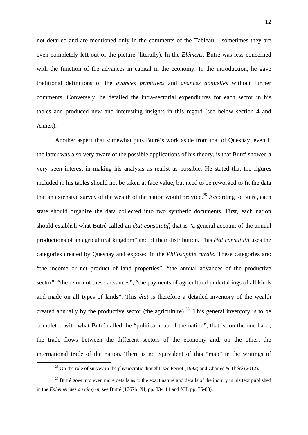not detailed and are mentioned only in the comments of the Tableau – sometimes they are even completely left out of the picture (literally). In the *Elémens*, Butré was less concerned with the function of the advances in capital in the economy. In the introduction, he gave traditional definitions of the *avances primitives* and *avances annuelles* without further comments. Conversely, he detailed the intra-sectorial expenditures for each sector in his tables and produced new and interesting insights in this regard (see below section 4 and Annex).

Another aspect that somewhat puts Butré's work aside from that of Quesnay, even if the latter was also very aware of the possible applications of his theory, is that Butré showed a very keen interest in making his analysis as realist as possible. He stated that the figures included in his tables should not be taken at face value, but need to be reworked to fit the data that an extensive survey of the wealth of the nation would provide.<sup>25</sup> According to Butré, each state should organize the data collected into two synthetic documents. First, each nation should establish what Butré called an *état constitutif*, that is "a general account of the annual productions of an agricultural kingdom" and of their distribution. This *état constitutif* uses the categories created by Quesnay and exposed in the *Philosophie rurale*. These categories are: "the income or net product of land properties", "the annual advances of the productive sector", "the return of these advances", "the payments of agricultural undertakings of all kinds and made on all types of lands". This *état* is therefore a detailed inventory of the wealth created annually by the productive sector (the agriculture)  $^{26}$ . This general inventory is to be completed with what Butré called the "political map of the nation", that is, on the one hand, the trade flows between the different sectors of the economy and, on the other, the international trade of the nation. There is no equivalent of this "map" in the writings of

<sup>&</sup>lt;sup>25</sup> On the role of survey in the physiocratic thought, see Perrot (1992) and Charles & Théré (2012).

<sup>&</sup>lt;sup>26</sup> Butré goes into even more details as to the exact nature and details of the inquiry in his text published in the *Éphémérides du citoyen*, see Butré (1767b: XI, pp. 83-114 and XII, pp. 75-88).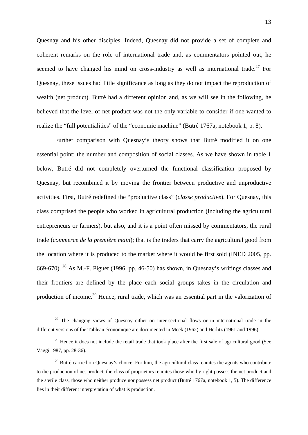Quesnay and his other disciples. Indeed, Quesnay did not provide a set of complete and coherent remarks on the role of international trade and, as commentators pointed out, he seemed to have changed his mind on cross-industry as well as international trade.<sup>27</sup> For Quesnay, these issues had little significance as long as they do not impact the reproduction of wealth (net product). Butré had a different opinion and, as we will see in the following, he believed that the level of net product was not the only variable to consider if one wanted to realize the "full potentialities" of the "economic machine" (Butré 1767a, notebook 1, p. 8).

Further comparison with Quesnay's theory shows that Butré modified it on one essential point: the number and composition of social classes. As we have shown in table 1 below, Butré did not completely overturned the functional classification proposed by Quesnay, but recombined it by moving the frontier between productive and unproductive activities. First, Butré redefined the "productive class" (*classe productive*). For Quesnay, this class comprised the people who worked in agricultural production (including the agricultural entrepreneurs or farmers), but also, and it is a point often missed by commentators, the rural trade (*commerce de la première main*); that is the traders that carry the agricultural good from the location where it is produced to the market where it would be first sold (INED 2005, pp. 669-670). <sup>28</sup> As M.-F. Piguet (1996, pp. 46-50) has shown, in Quesnay's writings classes and their frontiers are defined by the place each social groups takes in the circulation and production of income.29 Hence, rural trade, which was an essential part in the valorization of

 $27$  The changing views of Quesnay either on inter-sectional flows or in international trade in the different versions of the Tableau économique are documented in Meek (1962) and Herlitz (1961 and 1996).

<sup>&</sup>lt;sup>28</sup> Hence it does not include the retail trade that took place after the first sale of agricultural good (See Vaggi 1987, pp. 28-36).

 $29$  Butré carried on Quesnay's choice. For him, the agricultural class reunites the agents who contribute to the production of net product, the class of proprietors reunites those who by right possess the net product and the sterile class, those who neither produce nor possess net product (Butré 1767a, notebook 1, 5). The difference lies in their different interpretation of what is production.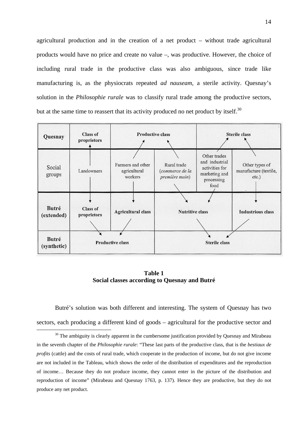agricultural production and in the creation of a net product – without trade agricultural products would have no price and create no value –, was productive. However, the choice of including rural trade in the productive class was also ambiguous, since trade like manufacturing is, as the physiocrats repeated *ad nauseam*, a sterile activity. Quesnay's solution in the *Philosophie rurale* was to classify rural trade among the productive sectors, but at the same time to reassert that its activity produced no net product by itself.<sup>30</sup>

| Quesnay             | <b>Class of</b><br>proprietors | <b>Productive class</b>                      |                                                  | <b>Sterile class</b>                                                                    |                                                     |
|---------------------|--------------------------------|----------------------------------------------|--------------------------------------------------|-----------------------------------------------------------------------------------------|-----------------------------------------------------|
| Social<br>groups    | Landowners                     | Farmers and other<br>agricultural<br>workers | Rural trade<br>(commerce de la<br>première main) | Other trades<br>and industrial<br>activities for<br>marketing and<br>processing<br>food | Other types of<br>manufacture (textile,<br>$etc.$ ) |
|                     |                                |                                              |                                                  |                                                                                         |                                                     |
| Butré<br>(extended) | <b>Class of</b><br>proprietors | <b>Agricultural class</b>                    | <b>Nutritive class</b>                           |                                                                                         | <b>Industrious class</b>                            |
|                     |                                |                                              |                                                  |                                                                                         |                                                     |
| <b>Butré</b>        | <b>Productive class</b>        |                                              |                                                  |                                                                                         |                                                     |
| (synthetic)         |                                |                                              | <b>Sterile class</b>                             |                                                                                         |                                                     |

**Table 1 Social classes according to Quesnay and Butré** 

Butré's solution was both different and interesting. The system of Quesnay has two sectors, each producing a different kind of goods – agricultural for the productive sector and

 $30$  The ambiguity is clearly apparent in the cumbersome justification provided by Quesnay and Mirabeau in the seventh chapter of the *Philosophie rurale*: "These last parts of the productive class, that is the *bestiaux de profits* (cattle) and the costs of rural trade, which cooperate in the production of income, but do not give income are not included in the Tableau, which shows the order of the distribution of expenditures and the reproduction of income… Because they do not produce income, they cannot enter in the picture of the distribution and reproduction of income" (Mirabeau and Quesnay 1763, p. 137). Hence they are productive, but they do not produce any net product.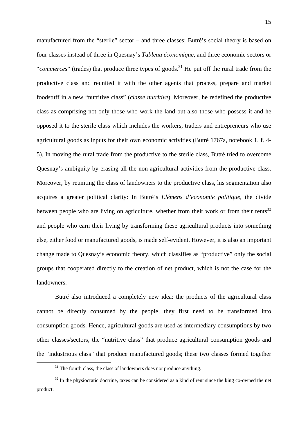manufactured from the "sterile" sector – and three classes; Butré's social theory is based on four classes instead of three in Quesnay's *Tableau économique*, and three economic sectors or "*commerces*" (trades) that produce three types of goods.<sup>31</sup> He put off the rural trade from the productive class and reunited it with the other agents that process, prepare and market foodstuff in a new "nutritive class" (*classe nutritive*). Moreover, he redefined the productive class as comprising not only those who work the land but also those who possess it and he opposed it to the sterile class which includes the workers, traders and entrepreneurs who use agricultural goods as inputs for their own economic activities (Butré 1767a, notebook 1, f. 4- 5). In moving the rural trade from the productive to the sterile class, Butré tried to overcome Quesnay's ambiguity by erasing all the non-agricultural activities from the productive class. Moreover, by reuniting the class of landowners to the productive class, his segmentation also acquires a greater political clarity: In Butré's *Elémens d'economie politique,* the divide between people who are living on agriculture, whether from their work or from their rents<sup>32</sup> and people who earn their living by transforming these agricultural products into something else, either food or manufactured goods, is made self-evident. However, it is also an important change made to Quesnay's economic theory, which classifies as "productive" only the social groups that cooperated directly to the creation of net product, which is not the case for the landowners.

Butré also introduced a completely new idea: the products of the agricultural class cannot be directly consumed by the people, they first need to be transformed into consumption goods. Hence, agricultural goods are used as intermediary consumptions by two other classes/sectors, the "nutritive class" that produce agricultural consumption goods and the "industrious class" that produce manufactured goods; these two classes formed together

 $31$  The fourth class, the class of landowners does not produce anything.

 $32$  In the physiocratic doctrine, taxes can be considered as a kind of rent since the king co-owned the net product.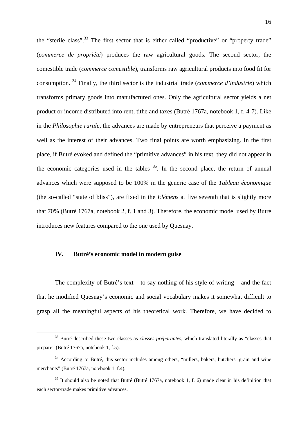the "sterile class".<sup>33</sup> The first sector that is either called "productive" or "property trade" (*commerce de propriété*) produces the raw agricultural goods. The second sector, the comestible trade (*commerce comestible*), transforms raw agricultural products into food fit for consumption. 34 Finally, the third sector is the industrial trade (*commerce d'industrie*) which transforms primary goods into manufactured ones. Only the agricultural sector yields a net product or income distributed into rent, tithe and taxes (Butré 1767a, notebook 1, f. 4-7). Like in the *Philosophie rurale*, the advances are made by entrepreneurs that perceive a payment as well as the interest of their advances. Two final points are worth emphasizing. In the first place, if Butré evoked and defined the "primitive advances" in his text, they did not appear in the economic categories used in the tables  $35$ . In the second place, the return of annual advances which were supposed to be 100% in the generic case of the *Tableau économique* (the so-called "state of bliss"), are fixed in the *Elémens* at five seventh that is slightly more that 70% (Butré 1767a, notebook 2, f. 1 and 3). Therefore, the economic model used by Butré introduces new features compared to the one used by Quesnay.

#### **IV. Butré's economic model in modern guise**

The complexity of Butré's text – to say nothing of his style of writing – and the fact that he modified Quesnay's economic and social vocabulary makes it somewhat difficult to grasp all the meaningful aspects of his theoretical work. Therefore, we have decided to

 <sup>33</sup> Butré described these two classes as *classes préparantes*, which translated literally as "classes that prepare" (Butré 1767a, notebook 1, f.5).

<sup>&</sup>lt;sup>34</sup> According to Butré, this sector includes among others, "millers, bakers, butchers, grain and wine merchants" (Butré 1767a, notebook 1, f.4).

<sup>&</sup>lt;sup>35</sup> It should also be noted that Butré (Butré 1767a, notebook 1, f. 6) made clear in his definition that each sector/trade makes primitive advances.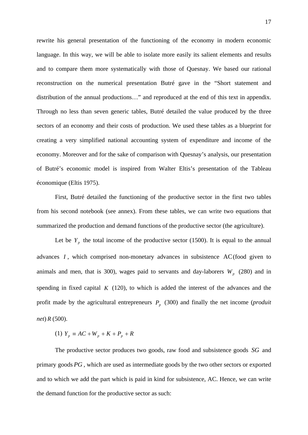rewrite his general presentation of the functioning of the economy in modern economic language. In this way, we will be able to isolate more easily its salient elements and results and to compare them more systematically with those of Quesnay. We based our rational reconstruction on the numerical presentation Butré gave in the "Short statement and distribution of the annual productions…" and reproduced at the end of this text in appendix. Through no less than seven generic tables, Butré detailed the value produced by the three sectors of an economy and their costs of production. We used these tables as a blueprint for creating a very simplified national accounting system of expenditure and income of the economy. Moreover and for the sake of comparison with Quesnay's analysis, our presentation of Butré's economic model is inspired from Walter Eltis's presentation of the Tableau économique (Eltis 1975).

First, Butré detailed the functioning of the productive sector in the first two tables from his second notebook (see annex). From these tables, we can write two equations that summarized the production and demand functions of the productive sector (the agriculture).

Let be  $Y_p$  the total income of the productive sector (1500). It is equal to the annual advances *I* , which comprised non-monetary advances in subsistence AC(food given to animals and men, that is 300), wages paid to servants and day-laborers  $W_p$  (280) and in spending in fixed capital *K* (120), to which is added the interest of the advances and the profit made by the agricultural entrepreneurs  $P<sub>n</sub>$  (300) and finally the net income (*produit net*) *R* (500).

(1) 
$$
Y_p = AC + W_p + K + P_p + R
$$

The productive sector produces two goods, raw food and subsistence goods *SG* and primary goods *PG* , which are used as intermediate goods by the two other sectors or exported and to which we add the part which is paid in kind for subsistence, AC. Hence, we can write the demand function for the productive sector as such: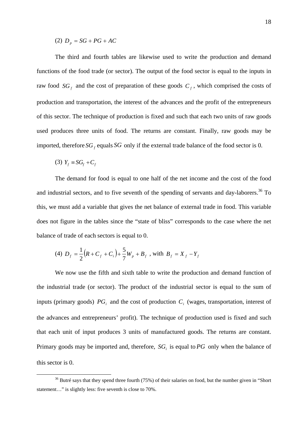(2)  $D_p = SG + PG + AC$ 

The third and fourth tables are likewise used to write the production and demand functions of the food trade (or sector). The output of the food sector is equal to the inputs in raw food  $SG<sub>f</sub>$  and the cost of preparation of these goods  $C<sub>f</sub>$ , which comprised the costs of production and transportation, the interest of the advances and the profit of the entrepreneurs of this sector. The technique of production is fixed and such that each two units of raw goods used produces three units of food. The returns are constant. Finally, raw goods may be imported, therefore  $SG_f$  equals  $SG$  only if the external trade balance of the food sector is 0.

$$
(3) Y_f \equiv SG_f + C_f
$$

The demand for food is equal to one half of the net income and the cost of the food and industrial sectors, and to five seventh of the spending of servants and day-laborers.<sup>36</sup> To this, we must add a variable that gives the net balance of external trade in food. This variable does not figure in the tables since the "state of bliss" corresponds to the case where the net balance of trade of each sectors is equal to 0.

(4) 
$$
D_f = \frac{1}{2}(R + C_f + C_i) + \frac{5}{7}W_p + B_f
$$
, with  $B_f = X_f - Y_f$ 

We now use the fifth and sixth table to write the production and demand function of the industrial trade (or sector). The product of the industrial sector is equal to the sum of inputs (primary goods)  $PG<sub>i</sub>$  and the cost of production  $C<sub>i</sub>$  (wages, transportation, interest of the advances and entrepreneurs' profit). The technique of production used is fixed and such that each unit of input produces 3 units of manufactured goods. The returns are constant. Primary goods may be imported and, therefore,  $SG<sub>i</sub>$  is equal to  $PG$  only when the balance of this sector is 0.

<sup>&</sup>lt;sup>36</sup> Butré says that they spend three fourth (75%) of their salaries on food, but the number given in "Short statement…" is slightly less: five seventh is close to 70%.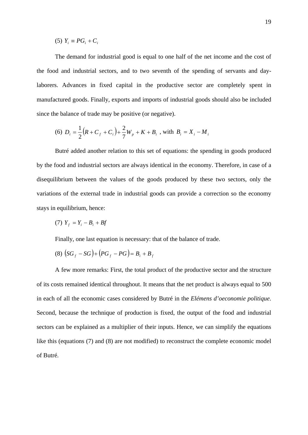$$
(5) Y_i \equiv PG_i + C_i
$$

The demand for industrial good is equal to one half of the net income and the cost of the food and industrial sectors, and to two seventh of the spending of servants and daylaborers. Advances in fixed capital in the productive sector are completely spent in manufactured goods. Finally, exports and imports of industrial goods should also be included since the balance of trade may be positive (or negative).

(6) 
$$
D_i = \frac{1}{2}(R + C_f + C_i) + \frac{2}{7}W_p + K + B_i
$$
, with  $B_i = X_i - M_i$ 

Butré added another relation to this set of equations: the spending in goods produced by the food and industrial sectors are always identical in the economy. Therefore, in case of a disequilibrium between the values of the goods produced by these two sectors, only the variations of the external trade in industrial goods can provide a correction so the economy stays in equilibrium, hence:

$$
(7) Y_f = Y_i - B_i + Bf
$$

Finally, one last equation is necessary: that of the balance of trade.

$$
(8) (SGf - SG) + (PGf - PG) = Bi + Bf
$$

A few more remarks: First, the total product of the productive sector and the structure of its costs remained identical throughout. It means that the net product is always equal to 500 in each of all the economic cases considered by Butré in the *Elémens d'oeconomie politique*. Second, because the technique of production is fixed, the output of the food and industrial sectors can be explained as a multiplier of their inputs. Hence, we can simplify the equations like this (equations (7) and (8) are not modified) to reconstruct the complete economic model of Butré.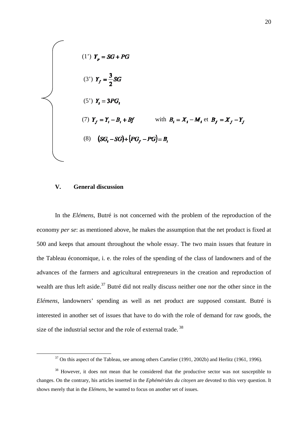(1') 
$$
Y_p = SG + PG
$$
  
\n(3')  $Y_f = \frac{3}{2}SG$   
\n(5')  $Y_i = 3PG_i$   
\n(7)  $Y_f = Y_i - B_i + Bf$  with  $B_i = X_i - M_i$  et  $B_f = X_f - Y_f$   
\n(8)  $(SG_i - SG) + (PG_f - PG) = B_i$ 

#### **V. General discussion**

In the *Elémens*, Butré is not concerned with the problem of the reproduction of the economy *per se*: as mentioned above, he makes the assumption that the net product is fixed at 500 and keeps that amount throughout the whole essay. The two main issues that feature in the Tableau économique, i. e. the roles of the spending of the class of landowners and of the advances of the farmers and agricultural entrepreneurs in the creation and reproduction of wealth are thus left aside.<sup>37</sup> Butré did not really discuss neither one nor the other since in the *Elémens*, landowners' spending as well as net product are supposed constant. Butré is interested in another set of issues that have to do with the role of demand for raw goods, the size of the industrial sector and the role of external trade.<sup>38</sup>

<sup>&</sup>lt;sup>37</sup> On this aspect of the Tableau, see among others Cartelier (1991, 2002b) and Herlitz (1961, 1996).

<sup>&</sup>lt;sup>38</sup> However, it does not mean that he considered that the productive sector was not susceptible to changes. On the contrary, his articles inserted in the *Ephémérides du citoyen* are devoted to this very question. It shows merely that in the *Elémens*, he wanted to focus on another set of issues.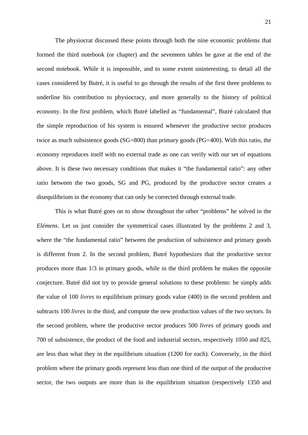The physiocrat discussed these points through both the nine economic problems that formed the third notebook (or chapter) and the seventeen tables he gave at the end of the second notebook. While it is impossible, and to some extent uninteresting, to detail all the cases considered by Butré, it is useful to go through the results of the first three problems to underline his contribution to physiocracy, and more generally to the history of political economy. In the first problem, which Butré labelled as "fundamental", Butré calculated that the simple reproduction of his system is ensured whenever the productive sector produces twice as much subsistence goods (SG=800) than primary goods (PG=400). With this ratio, the economy reproduces itself with no external trade as one can verify with our set of equations above. It is these two necessary conditions that makes it "the fundamental ratio": any other ratio between the two goods, SG and PG, produced by the productive sector creates a disequilibrium in the economy that can only be corrected through external trade.

This is what Butré goes on to show throughout the other "problems" he solved in the *Elémens*. Let us just consider the symmetrical cases illustrated by the problems 2 and 3, where the "the fundamental ratio" between the production of subsistence and primary goods is different from 2. In the second problem, Butré hypothesizes that the productive sector produces more than 1/3 in primary goods, while in the third problem he makes the opposite conjecture. Butré did not try to provide general solutions to these problems: he simply adds the value of 100 *livres* to equilibrium primary goods value (400) in the second problem and subtracts 100 *livres* in the third, and compute the new production values of the two sectors. In the second problem, where the productive sector produces 500 *livres* of primary goods and 700 of subsistence, the product of the food and industrial sectors, respectively 1050 and 825, are less than what they in the equilibrium situation (1200 for each). Conversely, in the third problem where the primary goods represent less than one third of the output of the productive sector, the two outputs are more than in the equilibrium situation (respectively 1350 and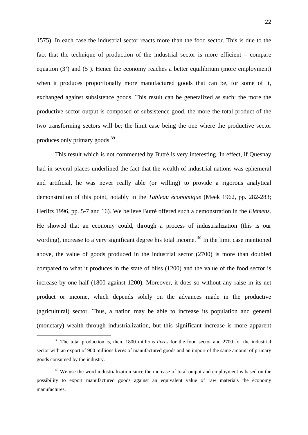1575). In each case the industrial sector reacts more than the food sector. This is due to the fact that the technique of production of the industrial sector is more efficient – compare equation (3') and (5'). Hence the economy reaches a better equilibrium (more employment) when it produces proportionally more manufactured goods that can be, for some of it, exchanged against subsistence goods. This result can be generalized as such: the more the productive sector output is composed of subsistence good, the more the total product of the two transforming sectors will be; the limit case being the one where the productive sector produces only primary goods.39

This result which is not commented by Butré is very interesting. In effect, if Quesnay had in several places underlined the fact that the wealth of industrial nations was ephemeral and artificial, he was never really able (or willing) to provide a rigorous analytical demonstration of this point, notably in the *Tableau économique* (Meek 1962, pp. 282-283; Herlitz 1996, pp. 5-7 and 16). We believe Butré offered such a demonstration in the *Elémens*. He showed that an economy could, through a process of industrialization (this is our wording), increase to a very significant degree his total income.<sup>40</sup> In the limit case mentioned above, the value of goods produced in the industrial sector (2700) is more than doubled compared to what it produces in the state of bliss (1200) and the value of the food sector is increase by one half (1800 against 1200). Moreover, it does so without any raise in its net product or income, which depends solely on the advances made in the productive (agricultural) sector. Thus, a nation may be able to increase its population and general (monetary) wealth through industrialization, but this significant increase is more apparent

<sup>&</sup>lt;sup>39</sup> The total production is, then, 1800 millions *livres* for the food sector and 2700 for the industrial sector with an export of 900 millions *livres* of manufactured goods and an import of the same amount of primary goods consumed by the industry.

<sup>&</sup>lt;sup>40</sup> We use the word industrialization since the increase of total output and employment is based on the possibility to export manufactured goods against an equivalent value of raw materials the economy manufactures.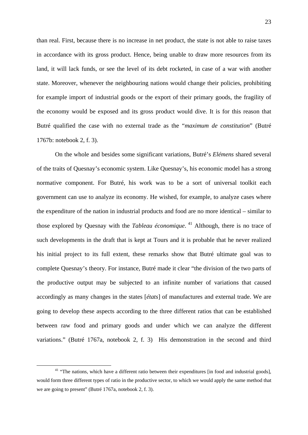than real. First, because there is no increase in net product, the state is not able to raise taxes in accordance with its gross product. Hence, being unable to draw more resources from its land, it will lack funds, or see the level of its debt rocketed, in case of a war with another state. Moreover, whenever the neighbouring nations would change their policies, prohibiting for example import of industrial goods or the export of their primary goods, the fragility of the economy would be exposed and its gross product would dive. It is for this reason that Butré qualified the case with no external trade as the "*maximum de constitution*" (Butré 1767b: notebook 2, f. 3).

On the whole and besides some significant variations, Butré's *Elémens* shared several of the traits of Quesnay's economic system. Like Quesnay's, his economic model has a strong normative component. For Butré, his work was to be a sort of universal toolkit each government can use to analyze its economy. He wished, for example, to analyze cases where the expenditure of the nation in industrial products and food are no more identical – similar to those explored by Quesnay with the *Tableau économique*.<sup>41</sup> Although, there is no trace of such developments in the draft that is kept at Tours and it is probable that he never realized his initial project to its full extent, these remarks show that Butré ultimate goal was to complete Quesnay's theory. For instance, Butré made it clear "the division of the two parts of the productive output may be subjected to an infinite number of variations that caused accordingly as many changes in the states [*états*] of manufactures and external trade. We are going to develop these aspects according to the three different ratios that can be established between raw food and primary goods and under which we can analyze the different variations." (Butré 1767a, notebook 2, f. 3) His demonstration in the second and third

<sup>&</sup>lt;sup>41</sup> "The nations, which have a different ratio between their expenditures [in food and industrial goods], would form three different types of ratio in the productive sector, to which we would apply the same method that we are going to present" (Butré 1767a, notebook 2, f. 3).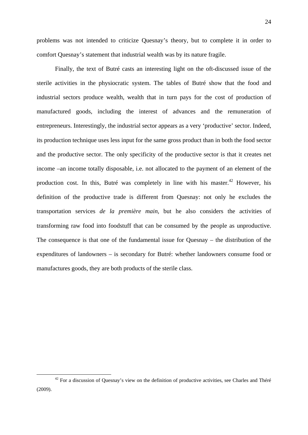problems was not intended to criticize Quesnay's theory, but to complete it in order to comfort Quesnay's statement that industrial wealth was by its nature fragile.

Finally, the text of Butré casts an interesting light on the oft-discussed issue of the sterile activities in the physiocratic system. The tables of Butré show that the food and industrial sectors produce wealth, wealth that in turn pays for the cost of production of manufactured goods, including the interest of advances and the remuneration of entrepreneurs. Interestingly, the industrial sector appears as a very 'productive' sector. Indeed, its production technique uses less input for the same gross product than in both the food sector and the productive sector. The only specificity of the productive sector is that it creates net income –an income totally disposable, i.e. not allocated to the payment of an element of the production cost. In this, Butré was completely in line with his master.<sup>42</sup> However, his definition of the productive trade is different from Quesnay: not only he excludes the transportation services *de la première main*, but he also considers the activities of transforming raw food into foodstuff that can be consumed by the people as unproductive. The consequence is that one of the fundamental issue for Quesnay – the distribution of the expenditures of landowners – is secondary for Butré: whether landowners consume food or manufactures goods, they are both products of the sterile class.

 $42$  For a discussion of Quesnay's view on the definition of productive activities, see Charles and Théré (2009).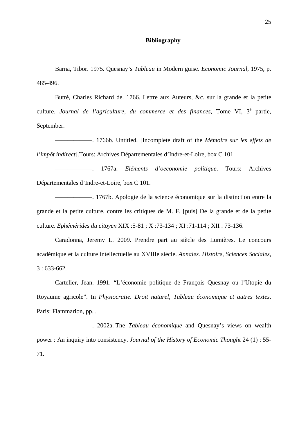#### **Bibliography**

Barna, Tibor. 1975. Quesnay's *Tableau* in Modern guise. *Economic Journal*, 1975, p. 485-496.

Butré, Charles Richard de. 1766. Lettre aux Auteurs, &c. sur la grande et la petite culture. Journal de l'agriculture, du commerce et des finances, Tome VI, 3<sup>e</sup> partie, September.

——————. 1766b. Untitled. [Incomplete draft of the *Mémoire sur les effets de l'impôt indirect*].Tours: Archives Départementales d'Indre-et-Loire, box C 101.

——————. 1767a. *Eléments d'oeconomie politique*. Tours: Archives Départementales d'Indre-et-Loire, box C 101.

——————. 1767b. Apologie de la science économique sur la distinction entre la grande et la petite culture, contre les critiques de M. F. [puis] De la grande et de la petite culture. *Ephémérides du citoyen* XIX :5-81 ; X :73-134 ; XI :71-114 ; XII : 73-136.

Caradonna, Jeremy L. 2009. Prendre part au siècle des Lumières. Le concours académique et la culture intellectuelle au XVIIIe siècle. *Annales. Histoire, Sciences Sociales*,  $3:633-662$ .

Cartelier, Jean. 1991. "L'économie politique de François Quesnay ou l'Utopie du Royaume agricole". In *Physiocratie. Droit naturel, Tableau économique et autres textes*. Paris: Flammarion, pp. .

——————. 2002a. The *Tableau économique* and Quesnay's views on wealth power : An inquiry into consistency. *Journal of the History of Economic Thought* 24 (1) : 55- 71.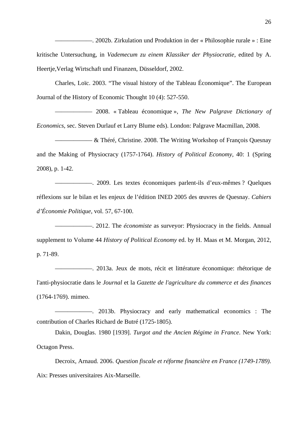——. 2002b. Zirkulation und Produktion in der « Philosophie rurale » : Eine kritische Untersuchung, in *Vademecum zu einem Klassiker der Physiocratie*, edited by A. Heertje,Verlag Wirtschaft und Finanzen, Düsseldorf, 2002.

Charles, Loïc. 2003. "The visual history of the Tableau Économique". The European Journal of the History of Economic Thought 10 (4): 527-550.

—————— 2008. « Tableau économique », *The New Palgrave Dictionary of Economics*, sec. Steven Durlauf et Larry Blume eds). London: Palgrave Macmillan, 2008.

 $-\&$  Théré, Christine. 2008. The Writing Workshop of François Quesnay and the Making of Physiocracy (1757-1764). *History of Political Economy*, 40: 1 (Spring 2008), p. 1-42.

——————. 2009. Les textes économiques parlent-ils d'eux-mêmes ? Quelques réflexions sur le bilan et les enjeux de l'édition INED 2005 des œuvres de Quesnay. *Cahiers d'Économie Politique*, vol. 57, 67-100.

——————. 2012. The *économiste* as surveyor: Physiocracy in the fields. Annual supplement to Volume 44 *History of Political Economy* ed. by H. Maas et M. Morgan, 2012, p. 71-89.

——————. 2013a. Jeux de mots, récit et littérature économique: rhétorique de l'anti-physiocratie dans le *Journal* et la *Gazette de l'agriculture du commerce et des finances*  (1764-1769). mimeo.

——————. 2013b. Physiocracy and early mathematical economics : The contribution of Charles Richard de Butré (1725-1805).

Dakin, Douglas. 1980 [1939]. *Turgot and the Ancien Régime in France*. New York: Octagon Press.

Decroix, Arnaud. 2006. *Question fiscale et réforme financière en France (1749-1789)*. Aix: Presses universitaires Aix-Marseille.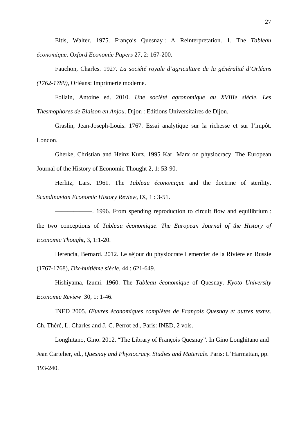Eltis, Walter. 1975. François Quesnay : A Reinterpretation. 1. The *Tableau économique*. *Oxford Economic Papers* 27, 2: 167-200.

Fauchon, Charles. 1927. *La société royale d'agriculture de la généralité d'Orléans (1762-1789)*, Orléans: Imprimerie moderne.

Follain, Antoine ed. 2010. *Une société agronomique au XVIIIe siècle. Les Thesmophores de Blaison en Anjou*. Dijon : Editions Universitaires de Dijon.

Graslin, Jean-Joseph-Louis. 1767. Essai analytique sur la richesse et sur l'impôt. London.

Gherke, Christian and Heinz Kurz. 1995 Karl Marx on physiocracy. The European Journal of the History of Economic Thought 2, 1: 53-90.

Herlitz, Lars. 1961. The *Tableau économique* and the doctrine of sterility. *Scandinavian Economic History Review*, IX, 1 : 3-51.

——————. 1996. From spending reproduction to circuit flow and equilibrium : the two conceptions of *Tableau économique*. *The European Journal of the History of Economic Thought*, 3, 1:1-20.

Herencia, Bernard. 2012. Le séjour du physiocrate Lemercier de la Rivière en Russie (1767-1768), *Dix-huitième siècle*, 44 : 621-649.

Hishiyama, Izumi. 1960. The *Tableau économique* of Quesnay. *Kyoto University Economic Review* 30, 1: 1-46.

INED 2005. *Œuvres économiques complètes de François Quesnay et autres textes.* Ch. Théré, L. Charles and J.-C. Perrot ed., Paris: INED, 2 vols.

Longhitano, Gino. 2012. "The Library of François Quesnay". In Gino Longhitano and Jean Cartelier, ed., *Quesnay and Physiocracy. Studies and Materials*. Paris: L'Harmattan, pp. 193-240.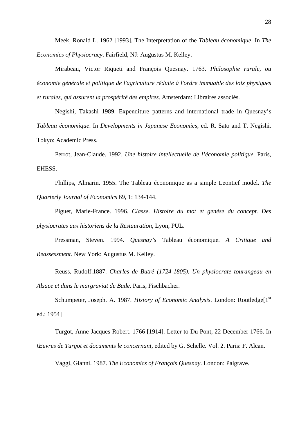Meek, Ronald L. 1962 [1993]. The Interpretation of the *Tableau économique*. In *The Economics of Physiocracy*. Fairfield, NJ: Augustus M. Kelley.

Mirabeau, Victor Riqueti and François Quesnay. 1763. *Philosophie rurale, ou économie générale et politique de l'agriculture réduite à l'ordre immuable des loix physiques et rurales, qui assurent la prospérité des empires*. Amsterdam: Libraires associés.

Negishi, Takashi 1989. Expenditure patterns and international trade in Quesnay's *Tableau économique*. In *Developments in Japanese Economics*, ed. R. Sato and T. Negishi. Tokyo: Academic Press.

Perrot, Jean-Claude. 1992. *Une histoire intellectuelle de l'économie politique*. Paris, EHESS.

Phillips, Almarin. 1955. The Tableau économique as a simple Leontief model**.** *The Quarterly Journal of Economics* 69, 1: 134-144.

Piguet, Marie-France. 1996. *Classe. Histoire du mot et genèse du concept. Des physiocrates aux historiens de la Restauration*, Lyon, PUL.

Pressman, Steven. 1994. *Quesnay's* Tableau économique*. A Critique and Reassessment*. New York: Augustus M. Kelley.

Reuss, Rudolf.1887. *Charles de Butré (1724-1805). Un physiocrate tourangeau en Alsace et dans le margraviat de Bade*. Paris, Fischbacher.

Schumpeter, Joseph. A. 1987. *History of Economic Analysis*. London: Routledge<sup>[1st</sup>] ed.: 1954]

Turgot, Anne-Jacques-Robert. 1766 [1914]. Letter to Du Pont, 22 December 1766. In *Œuvres de Turgot et documents le concernant*, edited by G. Schelle. Vol. 2. Paris: F. Alcan.

Vaggi, Gianni. 1987. *The Economics of François Quesnay*. London: Palgrave.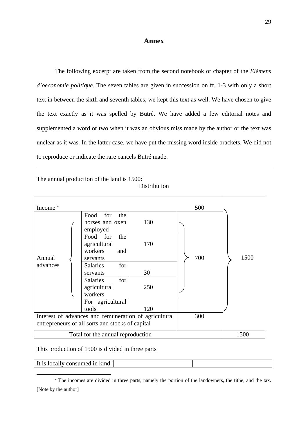### **Annex**

The following excerpt are taken from the second notebook or chapter of the *Elémens d'oeconomie politique*. The seven tables are given in succession on ff. 1-3 with only a short text in between the sixth and seventh tables, we kept this text as well. We have chosen to give the text exactly as it was spelled by Butré. We have added a few editorial notes and supplemented a word or two when it was an obvious miss made by the author or the text was unclear as it was. In the latter case, we have put the missing word inside brackets. We did not to reproduce or indicate the rare cancels Butré made.

The annual production of the land is 1500:

#### Distribution

| Income <sup>a</sup>                                   |                                                               |     | 500 |      |
|-------------------------------------------------------|---------------------------------------------------------------|-----|-----|------|
|                                                       | Food for<br>the<br>horses and oxen<br>employed                | 130 |     |      |
| Annual                                                | Food for<br>the<br>agricultural<br>workers<br>and<br>servants | 170 | 700 | 1500 |
| advances                                              | <b>Salaries</b><br>for<br>servants                            | 30  |     |      |
|                                                       | for<br><b>Salaries</b><br>agricultural<br>workers             | 250 |     |      |
|                                                       | For agricultural<br>tools                                     | 120 |     |      |
| Interest of advances and remuneration of agricultural |                                                               |     | 300 |      |
| entrepreneurs of all sorts and stocks of capital      |                                                               |     |     |      |
| Total for the annual reproduction                     |                                                               |     |     | 1500 |

#### This production of 1500 is divided in three parts

It is locally consumed in kind

 $\begin{array}{c|c}\n\hline\n\text{---} & \text{---} \\
\hline\n\text{---} & \text{---} \\
\text{---} & \text{---} \\
\hline\n\text{---} & \text{---} \\
\hline\n\end{array}$ <sup>a</sup> The incomes are divided in three parts, namely the portion of the landowners, the tithe, and the tax. [Note by the author]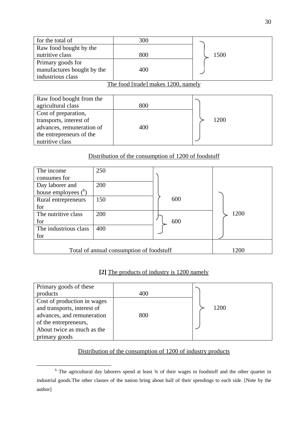| for the total of                    | 300 |      |  |  |
|-------------------------------------|-----|------|--|--|
| Raw food bought by the              |     |      |  |  |
| nutritive class                     | 800 | 1500 |  |  |
| Primary goods for                   |     |      |  |  |
| manufactures bought by the          | 400 |      |  |  |
| industrious class                   |     |      |  |  |
| The food [trade] makes 1200, namely |     |      |  |  |

| Raw food bought from the  |     |      |  |
|---------------------------|-----|------|--|
| agricultural class        | 800 |      |  |
| Cost of preparation,      |     |      |  |
| transports, interest of   |     | 1200 |  |
| advances, remuneration of | 400 |      |  |
| the entrepreneurs of the  |     |      |  |
| nutritive class           |     |      |  |

# Distribution of the consumption of 1200 of foodstuff

| The income               | 250                                      |     |      |
|--------------------------|------------------------------------------|-----|------|
| consumes for             |                                          |     |      |
| Day laborer and          | 200                                      |     |      |
| house employees $(^{b})$ |                                          |     |      |
| Rural entrepreneurs      | 150                                      | 600 |      |
| for                      |                                          |     |      |
| The nutritive class      | 200                                      |     | 1200 |
| for                      |                                          | 600 |      |
| The industrious class    | 400                                      |     |      |
| for                      |                                          |     |      |
|                          |                                          |     |      |
|                          | Total of annual consumption of foodstuff |     | 1200 |

# **[2]** The products of industry is 1200 namely

| Primary goods of these      |     |      |  |
|-----------------------------|-----|------|--|
| products                    | 400 |      |  |
| Cost of production in wages |     |      |  |
| and transports, interest of |     | 1200 |  |
| advances, and remuneration  | 800 |      |  |
| of the entrepreneurs,       |     |      |  |
| About twice as much as the  |     |      |  |
| primary goods               |     |      |  |

# Distribution of the consumption of 1200 of industry products

 $\begin{array}{c|c}\n\hline\n\end{array}$ <sup>b</sup> The agricultural day laborers spend at least 34 of their wages in foodstuff and the other quarter in industrial goods.The other classes of the nation bring about half of their spendings to each side. [Note by the author]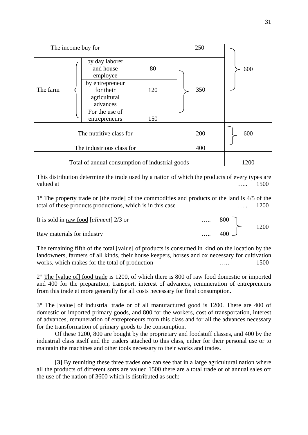| The income buy for                              |                                                          |     | 250 |      |  |
|-------------------------------------------------|----------------------------------------------------------|-----|-----|------|--|
|                                                 | by day laborer<br>and house<br>employee                  | 80  |     | 600  |  |
| The farm                                        | by entrepreneur<br>for their<br>agricultural<br>advances | 120 | 350 |      |  |
|                                                 | For the use of<br>entrepreneurs                          | 150 |     |      |  |
| The nutritive class for<br>200                  |                                                          |     |     | 600  |  |
| The industrious class for                       |                                                          |     | 400 |      |  |
| Total of annual consumption of industrial goods |                                                          |     |     | 1200 |  |

This distribution determine the trade used by a nation of which the products of every types are valued at 2500 million and the set of the set of the set of the set of the set of the set of the set of the set of the set of the set of the set of the set of the set of the set of the set of the set of the set of the set

1° The property trade or [the trade] of the commodities and products of the land is 4/5 of the total of these products productions, which is in this case ...... 1200

| It is sold in raw food [aliment] $2/3$ or | <br>800          |      |
|-------------------------------------------|------------------|------|
|                                           |                  | 1200 |
| Raw materials for industry                | <br>$400\degree$ |      |

The remaining fifth of the total [value] of products is consumed in kind on the location by the landowners, farmers of all kinds, their house keepers, horses and ox necessary for cultivation works, which makes for the total of production ..... 1500

2° The [value of] food trade is 1200, of which there is 800 of raw food domestic or imported and 400 for the preparation, transport, interest of advances, remuneration of entrepreneurs from this trade et more generally for all costs necessary for final consumption.

3° The [value] of industrial trade or of all manufactured good is 1200. There are 400 of domestic or imported primary goods, and 800 for the workers, cost of transportation, interest of advances, remuneration of entrepreneurs from this class and for all the advances necessary for the transformation of primary goods to the consumption.

 Of these 1200, 800 are bought by the proprietary and foodstuff classes, and 400 by the industrial class itself and the traders attached to this class, either for their personal use or to maintain the machines and other tools necessary to their works and trades.

**[3]** By reuniting these three trades one can see that in a large agricultural nation where all the products of different sorts are valued 1500 there are a total trade or of annual sales ofr the use of the nation of 3600 which is distributed as such: